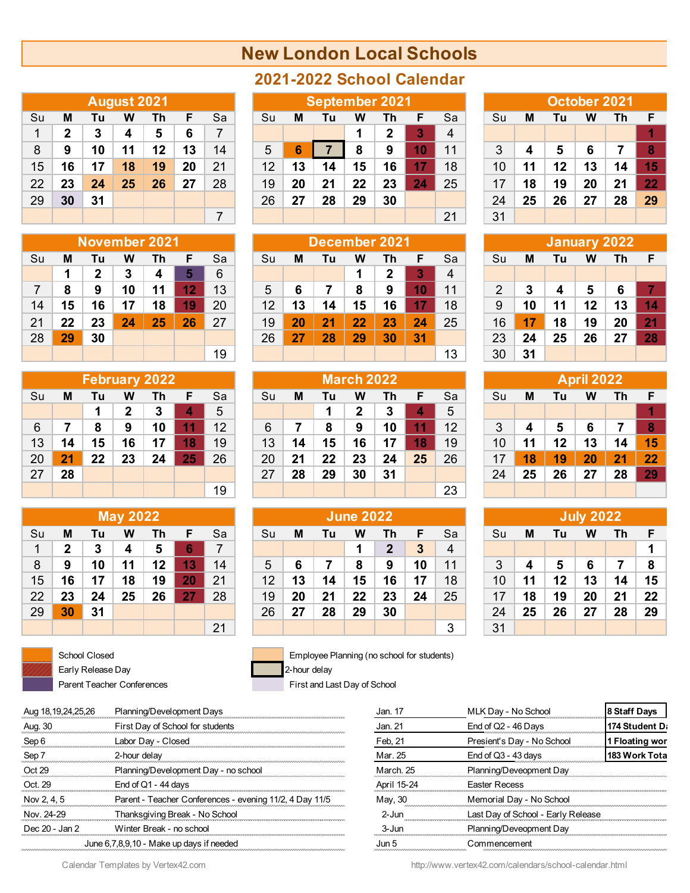## **New London Local Schools**

|    |              |    | <b>August 2021</b> |    |    |    |
|----|--------------|----|--------------------|----|----|----|
| Su | Μ            | Tu | W                  | Th | F  | Sa |
| 1  | $\mathbf{2}$ | 3  | 4                  | 5  | 6  | 7  |
| 8  | 9            | 10 | 11                 | 12 | 13 | 14 |
| 15 | 16           | 17 | 18                 | 19 | 20 | 21 |
| 22 | 23           | 24 | 25                 | 26 | 27 | 28 |
| 29 | 30           | 31 |                    |    |    |    |
|    |              |    |                    |    |    |    |

|    |    |              |    | November 2021 |    |    |  |  |  |  |  |  |  |  |
|----|----|--------------|----|---------------|----|----|--|--|--|--|--|--|--|--|
| Su | Μ  | Tu           | w  | Th            | F  | Sa |  |  |  |  |  |  |  |  |
|    | 1  | $\mathbf{2}$ | 3  | 4             | 5  | 6  |  |  |  |  |  |  |  |  |
| 7  | 8  | 9            | 10 | 11            | 12 | 13 |  |  |  |  |  |  |  |  |
| 14 | 15 | 16           | 17 | 18            | 19 | 20 |  |  |  |  |  |  |  |  |
| 21 | 22 | 23           | 24 | 25            | 26 | 27 |  |  |  |  |  |  |  |  |
| 28 | 29 | 30           |    |               |    |    |  |  |  |  |  |  |  |  |
|    |    |              |    |               |    | 19 |  |  |  |  |  |  |  |  |

|    |    |    |              | <b>February 2022</b> |    |    |
|----|----|----|--------------|----------------------|----|----|
| Su | Μ  | Tu | w            | Th                   | F  | Sa |
|    |    | 1  | $\mathbf{2}$ | 3                    | 4  | 5  |
| 6  | 7  | 8  | 9            | 10                   | 11 | 12 |
| 13 | 14 | 15 | 16           | 17                   | 18 | 19 |
| 20 | 21 | 22 | 23           | 24                   | 25 | 26 |
| 27 | 28 |    |              |                      |    |    |
|    |    |    |              |                      |    | 19 |

|    |              |    | <b>May 2022</b> |    |    |    |
|----|--------------|----|-----------------|----|----|----|
| Su | Μ            | Tu | w               | Τh | F  | Sa |
| 1  | $\mathbf{2}$ | 3  | 4               | 5  | 6  | 7  |
| 8  | 9            | 10 | 11              | 12 | 13 | 14 |
| 15 | 16           | 17 | 18              | 19 | 20 | 21 |
| 22 | 23           | 24 | 25              | 26 | 27 | 28 |
| 29 | 30           | 31 |                 |    |    |    |
|    |              |    |                 |    |    | 21 |



Early Release Day 2-hour delay Parent Teacher Conferences First and Last Day of School

## **2021-2022 School Calendar**

|    |    |    | August 2021 |    |    |    |    |    |    |    | <b>September 2021</b> |    |    |    |    |    | October 2021 |    |     |
|----|----|----|-------------|----|----|----|----|----|----|----|-----------------------|----|----|----|----|----|--------------|----|-----|
| Su | M  | Τu | w           | Τh | E  | Sa | Su | M  | Τu | w  | Th                    |    | Sa | Su | M  | Τu | W            | Th | - F |
|    | 2  |    | 4           | 5  | 6  |    |    |    |    |    |                       |    | 4  |    |    |    |              |    |     |
| 8  | 9  | 10 | 11          | 12 | 13 | 14 | 5  | 6  |    | 8  | 9                     | 10 | 11 |    |    | 5  | 6            |    |     |
| 15 | 16 | 17 | 18          | 19 | 20 | 21 | 12 | 13 | 14 | 15 | 16                    | 17 | 18 | 10 |    | 12 | 13           | 14 | 15  |
| 22 | 23 | 24 | 25          | 26 | 27 | 28 | 19 | 20 | 21 | 22 | 23                    | 24 | 25 | 17 | 18 | 19 | 20           | 21 | 22  |
| 29 | 30 | 31 |             |    |    |    | 26 | 27 | 28 | 29 | 30                    |    |    | 24 | 25 | 26 | 27           | 28 | 29  |
|    |    |    |             |    |    |    |    |    |    |    |                       |    | 21 | 31 |    |    |              |    |     |

|    |    |    |    | November 2021 |    |    |                 |    |    |    | December 2021 |    |    |    |    | January 2022 |    |    |                       |
|----|----|----|----|---------------|----|----|-----------------|----|----|----|---------------|----|----|----|----|--------------|----|----|-----------------------|
| Su | М  | Tu | w  | Τh            | F  | Sa | Su              | M  | Τu | w  | Τh            |    | Sa | Su | M  | Τu           | w  | Th | - F                   |
|    |    | າ  | 3  |               |    | 6  |                 |    |    |    | 2             |    | 4  |    |    |              |    |    |                       |
|    | 8  | 9  | 10 |               | 12 | 13 | 5               | 6  |    | 8  | 9             | 10 | 11 |    |    |              | 5  | 6  |                       |
| 14 | 15 | 16 |    | 18            | 19 | 20 | 12 <sup>°</sup> | 13 | 14 | 15 | 16            | 17 | 18 | 9  | 10 |              | 12 | 13 | 14                    |
| 21 | 22 | 23 | 24 | 25            | 26 | 27 | 19              | 20 | 21 | 22 | 23            | 24 | 25 | 16 | 17 | 18           | 19 | 20 | $\mathbf{2}^{\prime}$ |
| 28 | 29 | 30 |    |               |    |    | 26              | 27 | 28 | 29 | 30            | 31 |    | 23 | 24 | 25           | 26 | 27 | 28                    |
|    |    |    |    |               |    | 19 |                 |    |    |    |               |    | 13 | 30 | 31 |              |    |    |                       |

|    |    |    |    | <b>February 2022</b> |    |    |    |    |    | March 2022 |    |    |    |    |    |    | <b>April 2022</b> |    |    |
|----|----|----|----|----------------------|----|----|----|----|----|------------|----|----|----|----|----|----|-------------------|----|----|
| Su | M  | Tu | w  | Th                   | E  | Sa | Su | M  | Τu | w          | Th |    | Sa | Su | M  | Tu | W                 | Th | Æ  |
|    |    |    | כי |                      | 4  | 5  |    |    |    | כי         |    | 4  | 5  |    |    |    |                   |    |    |
| 6  |    | 8  | 9  | 10                   |    | 12 | 6  |    | 8  | 9          | 10 | 11 | 12 | 3  |    | 5  | 6                 |    | 8  |
| 13 | 14 | 15 | 16 | 17                   | 18 | 19 | 13 | 14 | 15 | 16         | 17 | 18 | 19 | 10 |    | 12 | 13                | 14 | 15 |
| 20 | 21 | 22 | 23 | 24                   | 25 | 26 | 20 | 21 | 22 | 23         | 24 | 25 | 26 | 17 | 18 | 19 | 20                | 21 | 22 |
| 27 | 28 |    |    |                      |    |    | 27 | 28 | 29 | 30         | 31 |    |    | 24 | 25 | 26 | 27                | 28 | 29 |
|    |    |    |    |                      |    | 19 |    |    |    |            |    |    | 23 |    |    |    |                   |    |    |

|    |    |    | <b>May 2022</b> |    |    |    |                 |    |    | <b>June 2022</b> |    |    |    |    |    |    | <b>July 2022</b> |    |    |
|----|----|----|-----------------|----|----|----|-----------------|----|----|------------------|----|----|----|----|----|----|------------------|----|----|
| Su | M  | Tu | w               | Th | F  | Sa | Su              | M  | Τu | w                | Th | F  | Sa | Su | M  | Τu | w                | Τh | -F |
| 1. | 2  | 3  | 4               | 5  | 6  |    |                 |    |    |                  | 2  | 3  | 4  |    |    |    |                  |    |    |
| 8  | 9  | 10 | 11              | 12 | 13 | 14 | 5               | 6  |    | 8                | 9  | 10 | 11 | 3  | 4  | 5  | 6                |    | -8 |
| 15 | 16 | 17 | 18              | 19 | 20 | 21 | 12 <sup>2</sup> | 13 | 14 | 15               | 16 | 17 | 18 | 10 |    | 12 | 13               | 14 | 15 |
| 22 | 23 | 24 | 25              | 26 | 27 | 28 | 19              | 20 | 21 | 22               | 23 | 24 | 25 | 17 | 18 | 19 | 20               | 21 | 22 |
| 29 | 30 | 31 |                 |    |    |    | 26              | 27 | 28 | 29               | 30 |    |    | 24 | 25 | 26 | 27               | 28 | 29 |
|    |    |    |                 |    |    | 21 |                 |    |    |                  |    |    | 3  | 31 |    |    |                  |    |    |

School Closed **Employee Planning (no school for students)** 

| Aug 18, 19, 24, 25, 26 | Planning/Development Days                               | Jan. 17     | MLK Day - No School                | 18 Staff Days  |
|------------------------|---------------------------------------------------------|-------------|------------------------------------|----------------|
| Aug. 30                | First Day of School for students                        | Jan. 21     | End of Q2 - 46 Days                | 174 Student D. |
| Sep 6                  | Labor Day - Closed                                      | Feb, 21     | Presient's Day - No School         | 1 Floating wor |
| Sep 7                  | 2-hour delay                                            | Mar. 25     | End of $Q3 - 43$ days              | 183 Work Tota  |
| Oct 29                 | Planning/Development Day - no school                    | March 25    | Planning/Deveopment Day            |                |
| Oct. 29                | End of $Q1 - 44$ days                                   | April 15-24 | <b>Easter Recess</b>               |                |
| Nov 2, 4, 5            | Parent - Teacher Conferences - evening 11/2, 4 Day 11/5 | May, 30     | Memorial Day - No School           |                |
| Nov. 24-29             | Thanksgiving Break - No School                          | $2 -$ Jun   | Last Day of School - Early Release |                |
| Dec 20 - Jan 2         | Winter Break - no school                                | $3 -$ Jun   | Planning/Deveopment Day            |                |
|                        | June 6,7,8,9,10 - Make up days if needed                | Jun 5       | Commencement                       |                |
|                        |                                                         |             |                                    |                |

| Aug 18,19,24,25,26 | Planning/Development Days                               | Jan. 17     | MLK Day - No School                | 8 Staff Days   |
|--------------------|---------------------------------------------------------|-------------|------------------------------------|----------------|
| Aug. 30            | First Day of School for students                        | Jan. 21     | End of Q2 - 46 Days                | 174 Student D. |
| Sep 6              | Labor Day - Closed                                      | Feb, 21     | Presient's Day - No School         | 1 Floating wor |
| Sep 7              | 2-hour delay                                            | Mar. 25     | End of $Q3 - 43$ days              | 183 Work Tota  |
| Oct 29             | Planning/Development Day - no school                    | March, 25   | Planning/Deveopment Day            |                |
| Oct. 29            | End of $Q1 - 44$ days                                   | April 15-24 | <b>Easter Recess</b>               |                |
| Nov 2, 4, 5        | Parent - Teacher Conferences - evening 11/2, 4 Day 11/5 | May, 30     | Memorial Day - No School           |                |
| Nov. 24-29         | Thanksgiving Break - No School                          | 2-Jun       | Last Day of School - Early Release |                |
| Dec 20 - Jan 2     | Winter Break - no school                                | 3-Jun       | Planning/Deveopment Day            |                |
|                    | June 6,7,8,9,10 - Make up days if needed                | Jun 5       | Commencement                       |                |

|               |    |    | October 2021 |    |    |
|---------------|----|----|--------------|----|----|
| Su            | М  | Tu | w            | Τh | F  |
|               |    |    |              |    |    |
| 3             | 4  | 5  | 6            | 7  | 8  |
| 10            | 11 | 12 | 13           | 14 | 15 |
| 17            | 18 | 19 | 20           | 21 | 22 |
| 24            | 25 | 26 | 27           | 28 | 29 |
| $\sim$ $\sim$ |    |    |              |    |    |

|    |    |    | <b>January 2022</b> |    |    |
|----|----|----|---------------------|----|----|
| Su | М  | Tu | w                   | Th | F  |
|    |    |    |                     |    |    |
| 2  | 3  | 4  | 5                   | 6  |    |
| 9  | 10 | 11 | 12                  | 13 | 14 |
| 16 | 17 | 18 | 19                  | 20 | 21 |
| 23 | 24 | 25 | 26                  | 27 | 28 |
| 30 | 31 |    |                     |    |    |

| <b>March 2022</b> |              |    |    | <b>April 2022</b> |    |    |    |    |    |    |
|-------------------|--------------|----|----|-------------------|----|----|----|----|----|----|
| Tu                | W            | Th | F  | Sa                | Su | M  | Tu | W  | Th | F  |
| $\mathbf 1$       | $\mathbf{2}$ | 3  | 4  | 5                 |    |    |    |    |    |    |
| 8                 | 9            | 10 | 11 | 12                | 3  | 4  | 5  | 6  |    | 8  |
| 15                | 16           | 17 | 18 | 19                | 10 | 11 | 12 | 13 | 14 | 15 |
| 22                | 23           | 24 | 25 | 26                | 17 | 18 | 19 | 20 | 21 | 22 |
| 29                | 30           | 31 |    |                   | 24 | 25 | 26 | 27 | 28 | 29 |
|                   |              |    |    | 23                |    |    |    |    |    |    |

|    | <b>July 2022</b> |    |    |    |    |  |  |
|----|------------------|----|----|----|----|--|--|
| Su | М                | Tu | w  | Th | F  |  |  |
|    |                  |    |    |    | 1  |  |  |
| 3  | 4                | 5  | 6  | 7  | 8  |  |  |
| 10 | 11               | 12 | 13 | 14 | 15 |  |  |
| 17 | 18               | 19 | 20 | 21 | 22 |  |  |
| 24 | 25               | 26 | 27 | 28 | 29 |  |  |
| 31 |                  |    |    |    |    |  |  |

Calendar Templates by Vertex42.com http://www.vertex42.com/calendars/school-calendar.html